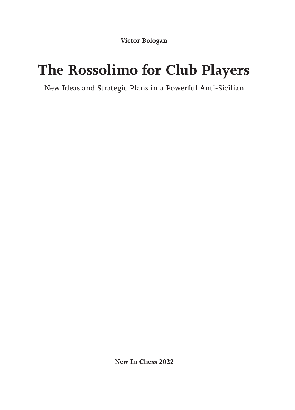**Victor Bologan**

# **The Rossolimo for Club Players**

New Ideas and Strategic Plans in a Powerful Anti-Sicilian

**New In Chess 2022**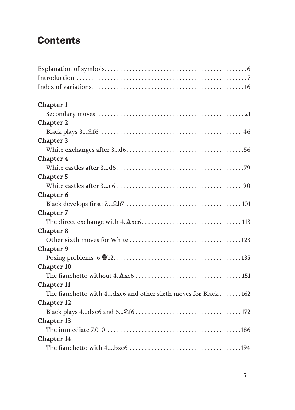# **Contents**

| <b>Chapter 1</b>                                               |
|----------------------------------------------------------------|
|                                                                |
| <b>Chapter 2</b>                                               |
|                                                                |
| <b>Chapter 3</b>                                               |
|                                                                |
| <b>Chapter 4</b>                                               |
|                                                                |
| <b>Chapter 5</b>                                               |
|                                                                |
| <b>Chapter 6</b>                                               |
|                                                                |
| <b>Chapter 7</b>                                               |
|                                                                |
| <b>Chapter 8</b>                                               |
|                                                                |
| <b>Chapter 9</b>                                               |
|                                                                |
| <b>Chapter 10</b>                                              |
|                                                                |
| <b>Chapter 11</b>                                              |
| The fianchetto with 4dxc6 and other sixth moves for Black  162 |
| <b>Chapter 12</b>                                              |
|                                                                |
| <b>Chapter 13</b>                                              |
|                                                                |
| <b>Chapter 14</b>                                              |
|                                                                |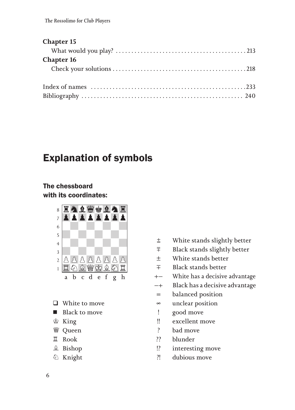| Chapter 15        |  |
|-------------------|--|
|                   |  |
| <b>Chapter 16</b> |  |
|                   |  |
|                   |  |
|                   |  |

# Explanation of symbols

#### The chessboard with its coordinates:



- $\Box$  White to move
- Black to move
- ♔ King
- ♕ Queen
- ♖ Rook
- ♗ Bishop
- ♘ Knight
- $\pm$  White stands slightly better
- $\overline{\overline{F}}$  Black stands slightly better
- White stands better
- $\overline{+}$  Black stands better
- White has a decisive advantage
- $-+$  Black has a decisive advantage
- balanced position
- ∞ unclear position
- ! good move
- !! excellent move
- ? bad move
- ?? blunder
- !? interesting move
- ?! dubious move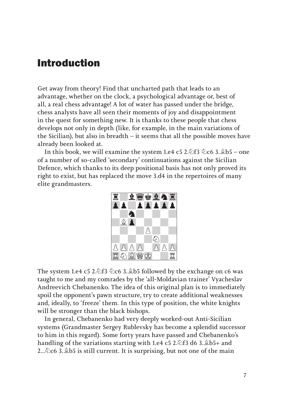### Introduction

Get away from theory! Find that uncharted path that leads to an advantage, whether on the clock, a psychological advantage or, best of all, a real chess advantage! A lot of water has passed under the bridge, chess analysts have all seen their moments of joy and disappointment in the quest for something new. It is thanks to these people that chess develops not only in depth (like, for example, in the main variations of the Sicilian), but also in breadth – it seems that all the possible moves have already been looked at.

In this book, we will examine the system 1.e4 c5 2. $\triangle$ f3  $\triangle$ c6 3. $\triangle$ b5 – one of a number of so-called 'secondary' continuations against the Sicilian Defence, which thanks to its deep positional basis has not only proved its right to exist, but has replaced the move 3.d4 in the repertoires of many elite grandmasters.



The system 1.e4 c5 2.♘f3 ♘c6 3.♗b5 followed by the exchange on c6 was taught to me and my comrades by the 'all-Moldavian trainer' Vyacheslav Andreevich Chebanenko. The idea of this original plan is to immediately spoil the opponent's pawn structure, try to create additional weaknesses and, ideally, to 'freeze' them. In this type of position, the white knights will be stronger than the black bishops.

In general, Chebanenko had very deeply worked-out Anti-Sicilian systems (Grandmaster Sergey Rublevsky has become a splendid successor to him in this regard). Some forty years have passed and Chebanenko's handling of the variations starting with 1.e4 c5 2.♘f3 d6 3.♗b5+ and 2... $\&c6$  3. $\&b5$  is still current. It is surprising, but not one of the main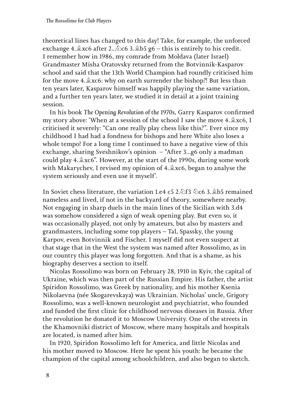theoretical lines has changed to this day! Take, for example, the unforced exchange 4.♗xc6 after 2...♘c6 3.♗b5 g6 – this is entirely to his credit. I remember how in 1986, my comrade from Moldava (later Israel) Grandmaster Misha Oratovsky returned from the Botvinnik-Kasparov school and said that the 13th World Champion had roundly criticised him for the move 4.♗xc6: why on earth surrender the bishop?! But less than ten years later, Kasparov himself was happily playing the same variation, and a further ten years later, we studied it in detail at a joint training session.

In his book *The Opening Revolution of the 1970s*, Garry Kasparov confirmed my story above: 'When at a session of the school I saw the move 4.♗xc6, I criticised it severely: "Can one really play chess like this?". Ever since my childhood I had had a fondness for bishops and here White also loses a whole tempo! For a long time I continued to have a negative view of this exchange, sharing Sveshnikov's opinion – "After 3...g6 only a madman could play 4.♗xc6". However, at the start of the 1990s, during some work with Makarychev, I revised my opinion of 4.♗xc6, began to analyse the system seriously and even use it myself'.

In Soviet chess literature, the variation 1.e4 c5 2.♘f3 ♘c6 3.♗b5 remained nameless and lived, if not in the backyard of theory, somewhere nearby. Not engaging in sharp duels in the main lines of the Sicilian with 3.d4 was somehow considered a sign of weak opening play. But even so, it was occasionally played, not only by amateurs, but also by masters and grandmasters, including some top players – Tal, Spassky, the young Karpov, even Botvinnik and Fischer. I myself did not even suspect at that stage that in the West the system was named after Rossolimo, as in our country this player was long forgotten. And that is a shame, as his biography deserves a section to itself.

Nicolas Rossolimo was born on February 28, 1910 in Kyiv, the capital of Ukraine, which was then part of the Russian Empire. His father, the artist Spiridon Rossolimo, was Greek by nationality, and his mother Ksenia Nikolaevna (née Skogarevskaya) was Ukrainian. Nicholas' uncle, Grigory Rossolimo, was a well-known neurologist and psychiatrist, who founded and funded the first clinic for childhood nervous diseases in Russia. After the revolution he donated it to Moscow University. One of the streets in the Khamovniki district of Moscow, where many hospitals and hospitals are located, is named after him.

In 1920, Spiridon Rossolimo left for America, and little Nicolas and his mother moved to Moscow. Here he spent his youth: he became the champion of the capital among schoolchildren, and also began to sketch.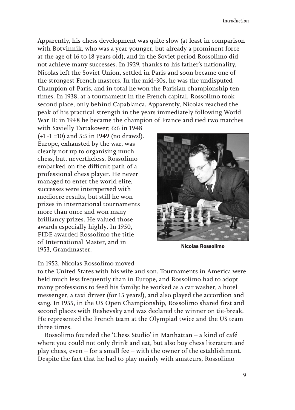Apparently, his chess development was quite slow (at least in comparison with Botvinnik, who was a year younger, but already a prominent force at the age of 16 to 18 years old), and in the Soviet period Rossolimo did not achieve many successes. In 1929, thanks to his father's nationality, Nicolas left the Soviet Union, settled in Paris and soon became one of the strongest French masters. In the mid-30s, he was the undisputed Champion of Paris, and in total he won the Parisian championship ten times. In 1938, at a tournament in the French capital, Rossolimo took second place, only behind Capablanca. Apparently, Nicolas reached the peak of his practical strength in the years immediately following World War II: in 1948 he became the champion of France and tied two matches

with Savielly Tartakower; 6:6 in 1948 (+1 -1 =10) and 5:5 in 1949 (no draws!). Europe, exhausted by the war, was clearly not up to organising much chess, but, nevertheless, Rossolimo embarked on the difficult path of a professional chess player. He never managed to enter the world elite, successes were interspersed with mediocre results, but still he won prizes in international tournaments more than once and won many brilliancy prizes. He valued those awards especially highly. In 1950, FIDE awarded Rossolimo the title of International Master, and in 1953, Grandmaster.



Nicolas Rossolimo

#### In 1952, Nicolas Rossolimo moved

to the United States with his wife and son. Tournaments in America were held much less frequently than in Europe, and Rossolimo had to adopt many professions to feed his family: he worked as a car washer, a hotel messenger, a taxi driver (for 15 years!), and also played the accordion and sang. In 1955, in the US Open Championship, Rossolimo shared first and second places with Reshevsky and was declared the winner on tie-break. He represented the French team at the Olympiad twice and the US team three times.

Rossolimo founded the 'Chess Studio' in Manhattan – a kind of café where you could not only drink and eat, but also buy chess literature and play chess, even – for a small fee – with the owner of the establishment. Despite the fact that he had to play mainly with amateurs, Rossolimo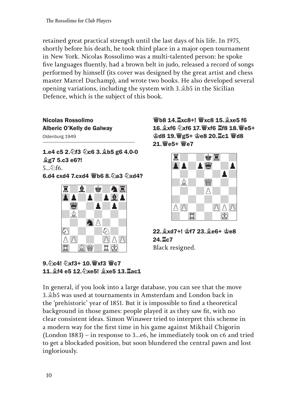retained great practical strength until the last days of his life. In 1975, shortly before his death, he took third place in a major open tournament in New York. Nicolas Rossolimo was a multi-talented person: he spoke five languages fluently, had a brown belt in judo, released a record of songs performed by himself (its cover was designed by the great artist and chess master Marcel Duchamp), and wrote two books. He also developed several opening variations, including the system with 3.♗b5 in the Sicilian Defence, which is the subject of this book.

#### Nicolas Rossolimo Alberic O'Kelly de Galway Oldenburg 1949

1.e4 c5 2.♘f3 ♘c6 3.♗b5 g6 4.0-0 ♗g7 5.c3 e6?! 5...♘f6. 6.d4 cxd4 7.cxd4 *₩b6 8.* 2a3 2xd4?



 $9.$  $0.9c4!$   $0.41c4$   $10.$   $8x63$   $8c7$ 11.♗f4 e5 12.♘xe5! ♗xe5 13.♖ac1

♕b8 14.♖xc8+! ♕xc8 15.♗xe5 f6 16.♗xf6 ♘xf6 17.♕xf6 ♖f8 18.♕e5+ **空d8 19. 曾g5+ 空e8 20. Lc1 曾d8** 21.♕e5+ ♕e7



22.♗xd7+! ♔f7 23.♗e6+ ♔e8 24.♖c7 Black resigned.

In general, if you look into a large database, you can see that the move 3.♗b5 was used at tournaments in Amsterdam and London back in the 'prehistoric' year of 1851. But it is impossible to find a theoretical background in those games: people played it as they saw fit, with no clear consistent ideas. Simon Winawer tried to interpret this scheme in a modern way for the first time in his game against Mikhail Chigorin (London 1883) – in response to 3...e6, he immediately took on c6 and tried to get a blockaded position, but soon blundered the central pawn and lost ingloriously.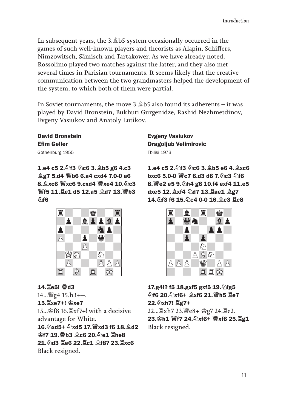In subsequent years, the 3.♗b5 system occasionally occurred in the games of such well-known players and theorists as Alapin, Schiffers, Nimzowitsch, Sämisch and Tartakower. As we have already noted, Rossolimo played two matches against the latter, and they also met several times in Parisian tournaments. It seems likely that the creative communication between the two grandmasters helped the development of the system, to which both of them were partial.

In Soviet tournaments, the move  $3.\hat{\otimes} 5$  also found its adherents – it was played by David Bronstein, Bukhuti Gurgenidze, Rashid Nezhmetdinov, Evgeny Vasiukov and Anatoly Lutikov.

### David Bronstein Efim Geller

Gothenburg 1955

1.e4 c5 2.♘f3 ♘c6 3.♗b5 g6 4.c3 ♗g7 5.d4 ♕b6 6.a4 cxd4 7.0-0 a6 8.♗xc6 ♕xc6 9.cxd4 ♕xe4 10.♘c3 ♕f5 11.♖e1 d5 12.a5 ♗d7 13.♕b3  $\Diamond$ f6



#### 14.♖e5! ♕d3

- 14... 曾g4 15.h3+-. 15.♖xe7+! ♔xe7
- 

15...♔f8 16.♖xf7+! with a decisive advantage for White. 16.♘xd5+ ♘xd5 17.♕xd3 f6 18.♗d2 ♔f7 19.♕b3 ♗c6 20.♘e1 ♖he8 21.♘d3 ♖e6 22.♖c1 ♗f8? 23.♖xc6 Black resigned.

Evgeny Vasiukov Dragoljub Velimirovic Tbilisi 1973

1.e4 c5 2.♘f3 ♘c6 3.♗b5 e6 4.♗xc6 bxc6 5.0-0 *We7* 6.d3 d6 7. *Qc3 Qf6* 8. @e2 e5 9. 2h4 g6 10.f4 exf4 11.e5 dxe5 12.♗xf4 ♘d7 13.♖ae1 ♗g7 14.♘f3 f6 15.♘e4 0-0 16.♗e3 ♖e8



#### 17.g4!? f5 18.gxf5 gxf5 19.♘fg5 ♘f6 20.♘xf6+ ♗xf6 21.♕h5 ♖e7 22.♘xh7! ♖g7+

22...♖xh7 23.♕e8+ ♔g7 24.♖e2. 23.♔h1 ♕f7 24.♘xf6+ ♕xf6 25.♖g1 Black resigned.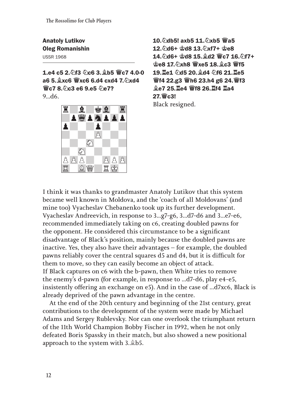*The Rossolimo for Club Players*

Anatoly Lutikov Oleg Romanishin USSR 1968

 $1.64$  c5 2. $\sqrt[3]{13}$   $\sqrt[3]{66}$  3. $\frac{6}{5}$  b5  $\frac{10}{5}$  c7 4.0-0 a6 5.♗xc6 ♕xc6 6.d4 cxd4 7.♘xd4 **Wez** 8. 2 c3 e6 9.e5 2 e7? 9...d6.



10. 2db5! axb5 11. 2xb5 ₩a5 12.♘d6+ ♔d8 13.♘xf7+ ♔e8 14. hd6+ \$d8 15. \$d2 Wc7 16. hf7+ ♔e8 17.♘xh8 ♕xe5 18.♗c3 ♕f5 19.♖e1 ♘d5 20.♗d4 ♘f6 21.♖e5 ♕f4 22.g3 ♕h6 23.h4 g6 24.♕f3 ♗e7 25.♖e4 ♕f8 26.♖f4 ♖a4 27.♕c3! Black resigned.

I think it was thanks to grandmaster Anatoly Lutikov that this system became well known in Moldova, and the 'coach of all Moldovans' (and mine too) Vyacheslav Chebanenko took up its further development. Vyacheslav Andreevich, in response to 3...g7-g6, 3...d7-d6 and 3...e7-e6, recommended immediately taking on c6, creating doubled pawns for the opponent. He considered this circumstance to be a significant disadvantage of Black's position, mainly because the doubled pawns are inactive. Yes, they also have their advantages – for example, the doubled pawns reliably cover the central squares d5 and d4, but it is difficult for them to move, so they can easily become an object of attack. If Black captures on c6 with the b-pawn, then White tries to remove the enemy's d-pawn (for example, in response to ...d7-d6, play e4-e5, insistently offering an exchange on e5). And in the case of ...d7xc6, Black is already deprived of the pawn advantage in the centre.

At the end of the 20th century and beginning of the 21st century, great contributions to the development of the system were made by Michael Adams and Sergey Rublevsky. Nor can one overlook the triumphant return of the 11th World Champion Bobby Fischer in 1992, when he not only defeated Boris Spassky in their match, but also showed a new positional approach to the system with 3.♗b5.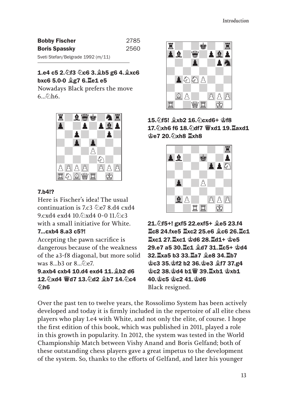| <b>Bobby Fischer</b>              | 2785 |
|-----------------------------------|------|
| <b>Boris Spassky</b>              | 2560 |
| Sveti Stefan/Belgrade 1992 (m/11) |      |

#### 1.e4 c5 2.♘f3 ♘c6 3.♗b5 g6 4.♗xc6 bxc6 5.0-0 ♗g7 6.♖e1 e5

Nowadays Black prefers the move  $6...\&0h6.$ 



#### 7.b4!?

Here is Fischer's idea! The usual continuation is 7.c3  $\&e$  8.d4 cxd4 9.cxd4 exd4 10. 2xd4 0-0 11. 2c3 with a small initiative for White. 7...cxb4 8.a3 c5?!

Accepting the pawn sacrifice is dangerous because of the weakness of the a3-f8 diagonal, but more solid was  $8...b3$  or  $8...\odot9e7$ .

9.axb4 cxb4 10.d4 exd4 11.♗b2 d6 12. 2xd4 Wd7 13. 2d2 *Lb7* 14. 2c4  $$h6$ 



15.  $\sqrt{5!}$  \$xb2 16.  $\sqrt{6}$  cxd6+  $\div$  f8 17. 2xh6 f6 18. 2df7 Wxd1 19. Laxd1 ♔e7 20.♘xh8 ♖xh8



21.♘f5+! gxf5 22.exf5+ ♗e5 23.f4 ♖c8 24.fxe5 ♖xc2 25.e6 ♗c6 26.♖c1 ♖xc1 27.♖xc1 ♔d6 28.♖d1+ ♔e5 29.e7 a5 30.♖c1 ♗d7 31.♖c5+ ♔d4 32.♖xa5 b3 33.♖a7 ♗e8 34.♖b7 ♔c3 35.♔f2 b2 36.♔e3 ♗f7 37.g4 ♔c2 38.♔d4 b1♕ 39.♖xb1 ♔xb1 40.♔c5 ♔c2 41.♔d6 Black resigned.

Over the past ten to twelve years, the Rossolimo System has been actively developed and today it is firmly included in the repertoire of all elite chess players who play 1.e4 with White, and not only the elite, of course. I hope the first edition of this book, which was published in 2011, played a role in this growth in popularity. In 2012, the system was tested in the World Championship Match between Vishy Anand and Boris Gelfand; both of these outstanding chess players gave a great impetus to the development of the system. So, thanks to the efforts of Gelfand, and later his younger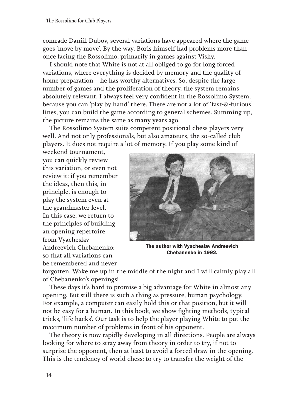comrade Daniil Dubov, several variations have appeared where the game goes 'move by move'. By the way, Boris himself had problems more than once facing the Rossolimo, primarily in games against Vishy.

I should note that White is not at all obliged to go for long forced variations, where everything is decided by memory and the quality of home preparation – he has worthy alternatives. So, despite the large number of games and the proliferation of theory, the system remains absolutely relevant. I always feel very confident in the Rossolimo System, because you can 'play by hand' there. There are not a lot of 'fast-&-furious' lines, you can build the game according to general schemes. Summing up, the picture remains the same as many years ago.

The Rossolimo System suits competent positional chess players very well. And not only professionals, but also amateurs, the so-called club players. It does not require a lot of memory. If you play some kind of

weekend tournament, you can quickly review this variation, or even not review it: if you remember the ideas, then this, in principle, is enough to play the system even at the grandmaster level. In this case, we return to the principles of building an opening repertoire from Vyacheslav Andreevich Chebanenko: so that all variations can be remembered and never



The author with Vyacheslav Andreevich Chebanenko in 1992.

forgotten. Wake me up in the middle of the night and I will calmly play all of Chebanenko's openings!

These days it's hard to promise a big advantage for White in almost any opening. But still there is such a thing as pressure, human psychology. For example, a computer can easily hold this or that position, but it will not be easy for a human. In this book, we show fighting methods, typical tricks, 'life hacks'. Our task is to help the player playing White to put the maximum number of problems in front of his opponent.

The theory is now rapidly developing in all directions. People are always looking for where to stray away from theory in order to try, if not to surprise the opponent, then at least to avoid a forced draw in the opening. This is the tendency of world chess: to try to transfer the weight of the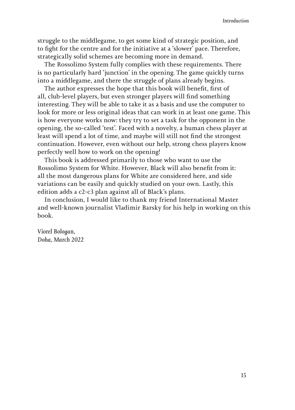struggle to the middlegame, to get some kind of strategic position, and to fight for the centre and for the initiative at a 'slower' pace. Therefore, strategically solid schemes are becoming more in demand.

The Rossolimo System fully complies with these requirements. There is no particularly hard 'junction' in the opening. The game quickly turns into a middlegame, and there the struggle of plans already begins.

The author expresses the hope that this book will benefit, first of all, club-level players, but even stronger players will find something interesting. They will be able to take it as a basis and use the computer to look for more or less original ideas that can work in at least one game. This is how everyone works now: they try to set a task for the opponent in the opening, the so-called 'test'. Faced with a novelty, a human chess player at least will spend a lot of time, and maybe will still not find the strongest continuation. However, even without our help, strong chess players know perfectly well how to work on the opening!

This book is addressed primarily to those who want to use the Rossolimo System for White. However, Black will also benefit from it: all the most dangerous plans for White are considered here, and side variations can be easily and quickly studied on your own. Lastly, this edition adds a c2-c3 plan against all of Black's plans.

In conclusion, I would like to thank my friend International Master and well-known journalist Vladimir Barsky for his help in working on this book.

*Viorel Bologan, Doha, March 2022*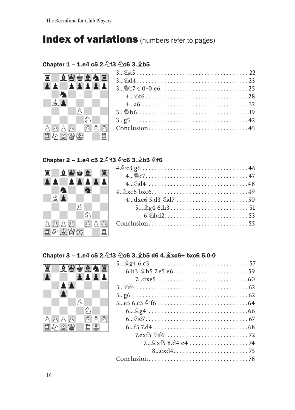# Index of variations (numbers refer to pages)

#### Chapter 1 - 1.e4 c5 2. 4f3 4c6 3. 克b5



| $4$ a $632$ |
|-------------|
|             |
|             |
|             |
|             |

#### Chapter 2 - 1.e4 c5 2. 43 4c6 3. 8b5 4f6



| $4\textcolor{red}{\odot} \textcolor{red}{\text{d}} \textcolor{red}{4} \textcolor{black}{\ldots} \textcolor{red}{\ldots} \textcolor{black}{\ldots} \textcolor{black}{\ldots} \textcolor{black}{\ldots} \textcolor{black}{\ldots} \textcolor{black}{\ldots} \textcolor{black}{\ldots} \textcolor{black}{\ldots} \textcolor{black}{\ldots} \textcolor{black}{\text{d}} \textcolor{black}{8}$ |
|-------------------------------------------------------------------------------------------------------------------------------------------------------------------------------------------------------------------------------------------------------------------------------------------------------------------------------------------------------------------------------------------|
| $4.\&\text{xc6 bxc6}49$                                                                                                                                                                                                                                                                                                                                                                   |
|                                                                                                                                                                                                                                                                                                                                                                                           |
| $5\&\&\&4\&6.h3\&\dots\&\dots\&51$                                                                                                                                                                                                                                                                                                                                                        |
|                                                                                                                                                                                                                                                                                                                                                                                           |
|                                                                                                                                                                                                                                                                                                                                                                                           |

#### Chapter 3 – 1.e4 c5 2.♘f3 ♘c6 3.♗b5 d6 4.♗xc6+ bxc6 5.0-0

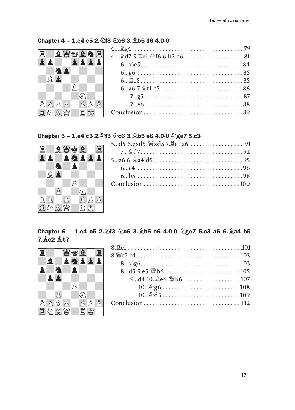#### Chapter 4 - 1.e4 c5 2. h3 h2c6 3. kb5 d6 4.0-0

| I AWGAAI                                                                                                                                                                                                                                                                                                                                                            |  |               |  | 4 @d7 5. le1 公f6 6.h3 e6  81 |  |
|---------------------------------------------------------------------------------------------------------------------------------------------------------------------------------------------------------------------------------------------------------------------------------------------------------------------------------------------------------------------|--|---------------|--|------------------------------|--|
| AA AAAA                                                                                                                                                                                                                                                                                                                                                             |  |               |  |                              |  |
|                                                                                                                                                                                                                                                                                                                                                                     |  |               |  |                              |  |
| $\begin{picture}(20,20) \put(0,0){\vector(1,0){100}} \put(15,0){\vector(1,0){100}} \put(15,0){\vector(1,0){100}} \put(15,0){\vector(1,0){100}} \put(15,0){\vector(1,0){100}} \put(15,0){\vector(1,0){100}} \put(15,0){\vector(1,0){100}} \put(15,0){\vector(1,0){100}} \put(15,0){\vector(1,0){100}} \put(15,0){\vector(1,0){100}} \put(15,0){\vector(1,0){100}} \$ |  |               |  |                              |  |
| $\Box$                                                                                                                                                                                                                                                                                                                                                              |  |               |  |                              |  |
|                                                                                                                                                                                                                                                                                                                                                                     |  | $\mathcal{L}$ |  |                              |  |
| $\beta \beta \beta \beta$ $\beta \beta \beta$                                                                                                                                                                                                                                                                                                                       |  |               |  |                              |  |
| 置负真幽 置空                                                                                                                                                                                                                                                                                                                                                             |  |               |  |                              |  |

#### Chapter 5 - 1.e4 c5 2. 行3 2c6 3. tb5 e6 4.0-0 2ge7 5.c3

|                               | 5d5 6.exd5 響xd5 7. Le1 a6  91                                         |
|-------------------------------|-----------------------------------------------------------------------|
| <b>TOWER</b><br>買<br>AA AAAAA | $7\triangleq d7.\dots\dots\dots\dots\dots\dots\dots\dots\dots\dots92$ |
|                               |                                                                       |
|                               |                                                                       |
| $\bigoplus$                   |                                                                       |
|                               |                                                                       |
|                               |                                                                       |

#### Chapter 6 - 1.e4 c5 2. 行3 2c6 3. tb5 e6 4.0-0 2ge7 5.c3 a6 6. 克a4 b5 7.♗c2 ♗b7

| 亘 |   |                   |                  | w \$ 2      |   | 亘 |
|---|---|-------------------|------------------|-------------|---|---|
|   | ġ |                   | $\blacktriangle$ | 有主主主        |   |   |
|   |   |                   |                  |             |   |   |
|   | Å |                   |                  |             |   |   |
|   |   |                   |                  |             |   |   |
|   |   | щ                 |                  | グ           |   |   |
|   |   |                   |                  | $\triangle$ | Å | 八 |
|   |   | る<br>さんしょう<br>このは |                  | Ĭ           |   |   |

 $\frac{1}{3}$  $\frac{Q}{A}$  $\begin{tabular}{c|ccccc} $\mathbb{A}$ & $\mathbb{A}$ & $\mathbb{A}$ & $\mathbb{A}$ & $\mathbb{A}$ \\ $\mathbb{Z}$ & $\mathbb{A}$ & $\mathbb{Z}$ & $\mathbb{Z}$ \\ $\mathbb{Z}$ & $\mathbb{A}$ & $\mathbb{Z}$ & $\mathbb{Z}$ \\ $\mathbb{Z}$ & $\mathbb{Z}$ & $\mathbb{Z}$ & $\mathbb{Z}$ \\ $\mathbb{Z}$ & $\mathbb{Z}$ & $\mathbb{Z}$ & $\mathbb{Z}$ \\ $\mathbb{Z}$ & $\mathbb{Z}$ & $\mathbb{Z}$ & $\mathbb{Z}$ \\ $\mathbb{Z}$ & $\mathbb{Z}$ & $\mathbb{Z}$ & $\mathbb{Z}$ & $\mathbb{Z}$$ 

直久食业

| $8\&2g6.\dots 103$    |  |
|-----------------------|--|
| 8d5 9.e5   b6  105    |  |
| 9d4 10. e4   106  107 |  |
|                       |  |
| $10\frac{5}{45}109$   |  |
|                       |  |
|                       |  |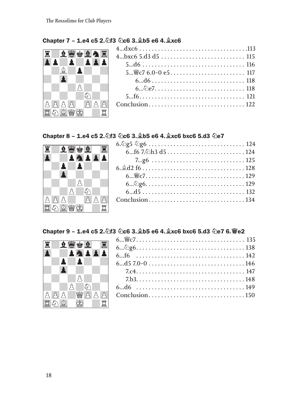#### Chapter 7 - 1.e4 c5 2. 个f3 2c6 3.  $\&$  b5 e6 4.  $\&$ xc6

|  |                                               |  |  | Z QWOOAX |  |
|--|-----------------------------------------------|--|--|----------|--|
|  | <b>AA A AAA</b>                               |  |  |          |  |
|  | $\mathbb{R}$ $\blacksquare$                   |  |  |          |  |
|  |                                               |  |  |          |  |
|  |                                               |  |  |          |  |
|  |                                               |  |  |          |  |
|  | $\beta \beta \beta \beta$ $\beta \beta \beta$ |  |  |          |  |
|  | 買め食蟹杏 買                                       |  |  |          |  |

#### Chapter 8 – 1.e4 c5 2.♘f3 ♘c6 3.♗b5 e6 4.♗xc6 bxc6 5.d3 ♘e7

![](_page_14_Picture_4.jpeg)

#### Chapter 9 – 1.e4 c5 2.♘f3 ♘c6 3.♗b5 e6 4.♗xc6 bxc6 5.d3 ♘e7 6.♕e2

![](_page_14_Picture_6.jpeg)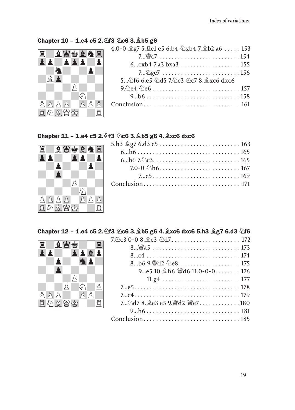#### Chapter 10 - 1.e4 c5 2. 个f3 2c6 3. *Lb5* g6

|   |                                   |            |  |               | 4.0-0 奠g7 5. Le1 e5 6.b4 公xb4 7. Leb2 a6  153 |  |
|---|-----------------------------------|------------|--|---------------|-----------------------------------------------|--|
| 買 |                                   |            |  | <b>QWOOAE</b> | 7 $\mathbb{W}$ C7 154                         |  |
|   | $\blacktriangle$ $\blacktriangle$ | <b>AAA</b> |  |               |                                               |  |
|   |                                   |            |  |               | $7\textcircled{2}$ ge7 156                    |  |
|   | 21                                |            |  |               | 5公f6 6.e5 公d5 7.公c3 公c7 8. gxc6 dxc6          |  |
|   |                                   |            |  |               |                                               |  |
|   |                                   |            |  |               |                                               |  |
|   |                                   |            |  |               |                                               |  |
|   | 置勾鱼幽空                             |            |  |               |                                               |  |

#### Chapter 11 – 1.e4 c5 2.♘f3 ♘c6 3.♗b5 g6 4.♗xc6 dxc6

| Ï               |   |                    | <b>199112</b>    |           |   |   |
|-----------------|---|--------------------|------------------|-----------|---|---|
| $\blacklozenge$ | Δ |                    | $\blacktriangle$ | E.        |   |   |
|                 |   | Å                  |                  |           |   |   |
|                 |   | Å                  |                  |           |   |   |
|                 |   |                    |                  |           |   |   |
|                 |   |                    |                  | $\hat{z}$ |   |   |
|                 |   |                    |                  | Å         | Å | 八 |
| ら<br>買          |   | <b>上上上的</b><br>公皇瞥 | $\dot{\Phi}$     |           |   |   |

#### Chapter 12 – 1.e4 c5 2. $\frac{26}{3}$   $\frac{26}{3}$   $\frac{3}{9}$   $\frac{6}{3}$   $\frac{26}{3}$   $\frac{26}{3}$   $\frac{27}{3}$  $7.\&2c30-0.8.\&2e3$   $\&17.$

![](_page_15_Picture_7.jpeg)

| 9e5 10. th6 彎d6 11.0-0-0 176                                               |
|----------------------------------------------------------------------------|
| $11.84 \ldots \ldots \ldots \ldots \ldots \ldots \ldots \ldots \ldots 177$ |
|                                                                            |
|                                                                            |
| 7公d7 8.奠e3 e5 9. [d2 曾e7180                                                |
|                                                                            |
|                                                                            |
|                                                                            |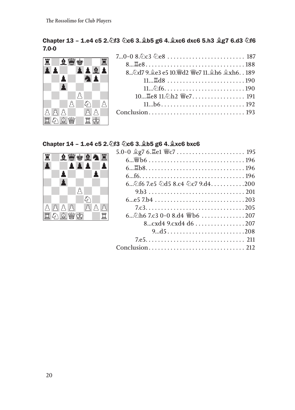#### Chapter 13 – 1.e4 c5 2.♘f3 ♘c6 3.♗b5 g6 4.♗xc6 dxc6 5.h3 ♗g7 6.d3 ♘f6 7.0-0

![](_page_16_Picture_2.jpeg)

| 70-0 8.④c3 ②e8  187                                                    |  |
|------------------------------------------------------------------------|--|
|                                                                        |  |
| 8 Ad7 9. ge3 e5 10. 曾d2 曾e7 11. gh6 gxh6 189                           |  |
|                                                                        |  |
|                                                                        |  |
| $10$ $2e8$ $11.$ $2h2$ $2e7$ $\ldots$ $\ldots$ $\ldots$ $\ldots$ $191$ |  |
|                                                                        |  |
|                                                                        |  |
|                                                                        |  |

# **Chapter 14 – 1.e4 c5 2.** $\frac{26}{3}$  **©c6 3.** $\frac{6}{3}$ **b5 g6 4.** $\frac{6}{3}$ **xc6 bxc6<br>**  $\frac{1}{2}$  **= 1.000**  $\frac{6}{3}$  **g7 6.** $\frac{8}{3}$ **e1**  $\frac{10}{3}$ **c7 .......**

| Ï |     |    |      |           |         | <b>全曹空全角耳</b> |
|---|-----|----|------|-----------|---------|---------------|
| Å |     | Å. |      | 主主        |         |               |
|   | Å   |    |      |           |         |               |
|   | Å   |    |      |           |         |               |
|   |     |    | Ω    |           |         |               |
|   |     |    |      | $\hat{z}$ |         |               |
| ै | 888 |    |      | $\beta$   | $\beta$ | රි            |
|   |     |    | の夏幽空 |           |         |               |

| 6公f6 7.e5 公d5 8.c4 公c7 9.d4200                 |
|------------------------------------------------|
|                                                |
|                                                |
|                                                |
| 6 $\triangle$ h6 7.c3 0-0 8.d4 $\angle$ b6 207 |
| 8cxd4 9.cxd4 d6 207                            |
|                                                |
|                                                |
|                                                |
|                                                |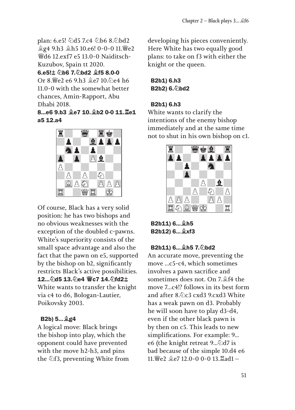plan: 6.e5! ♘d5 7.c4 ♘b6 8.♘bd2  **食g4 9.h3 鱼h5 10.e6! 0-0-0 11. 響e2** ♕d6 12.exf7 e5 13.0-0 Naiditsch-Kuzubov, Spain tt 2020.

6.e5!䩲 ♘b6 7.♘bd2 ♗f5 8.0-0

Or 8.♕e2 e6 9.h3 ♗e7 10.♘e4 h6 11.0-0 with the somewhat better chances, Amin-Rapport, Abu Dhabi 2018.

8...e6 9.b3 ♗e7 10.♗b2 0-0 11.♖e1 a5 12.a4

![](_page_17_Picture_5.jpeg)

Of course, Black has a very solid position: he has two bishops and no obvious weaknesses with the exception of the doubled c-pawns. White's superiority consists of the small space advantage and also the fact that the pawn on e5, supported by the bishop on b2, significantly restricts Black's active possibilities. 12... 2d5 13. 2e4 曾c7 14. 2fd2± White wants to transfer the knight via c4 to d6, Bologan-Lautier, Poikovsky 2003.

#### B2b) 5...♗g4

A logical move: Black brings the bishop into play, which the opponent could have prevented with the move h2-h3, and pins the  $\triangle$ f3, preventing White from developing his pieces conveniently. Here White has two equally good plans: to take on f3 with either the knight or the queen.

 B2b1) 6.h3 **B2b2) 6. 2bd2** 

#### B2b1) 6.h3

White wants to clarify the intentions of the enemy bishop immediately and at the same time not to shut in his own bishop on c1.

![](_page_17_Picture_13.jpeg)

 B2b11) 6...♗h5 B2b12) 6...♗xf3

#### **B2b11) 6...** £h5 7. ⊘bd2

An accurate move, preventing the move ...c5-c4, which sometimes involves a pawn sacrifice and sometimes does not. On 7.♗f4 the move 7...c4!? follows in its best form and after 8.♘c3 cxd3 9.cxd3 White has a weak pawn on d3. Probably he will soon have to play d3-d4, even if the other black pawn is by then on c5. This leads to new simplifications. For example: 9... e6 (the knight retreat 9...∕ 2d7 is bad because of the simple 10.d4 e6 11.♕e2 ♗e7 12.0-0 0-0 13.♖ad1 –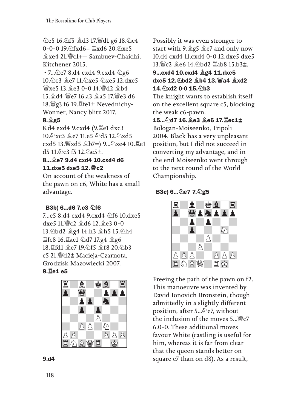♘e5 16.♘f5 ♗d3 17.♕d1 g6 18.♘c4 0-0-0 19.♘fxd6+ ♖xd6 20.♘xe5 ु $xe4$  21.  $\frac{100}{10}$ c1+ – Sambuev-Chaichi, Kitchener 2015;

• 7... De7 8.d4 cxd4 9. cxd4 2g6 10.♘c3 ♗e7 11.♘xe5 ♘xe5 12.dxe5 ♕xe5 13.♗e3 0-0 14.♕d2 ♗b4 15.♗d4 ♕e7 16.a3 ♗a5 17.♕e3 d6 18. g3 f6 19. Levednichy-Wonner, Nancy blitz 2017.

#### 8.♗g5

8.d4 exd4 9.cxd4 (9.♖e1 dxc3 10.♘xc3 ♗e7 11.e5 ♘d5 12.♘xd5 cxd5 13. *with* sales a b7=) 9... ⁄ 2xe4 10. le1 d5 11. $\&$ c3 f5 12. $\&$ e5 $\pm$ .

#### 8...♗e7 9.d4 cxd4 10.cxd4 d6 11.dxe5 dxe5 12.♕c2

On account of the weakness of the pawn on c6, White has a small advantage.

#### **B3b) 6...d6 7.c3 ۞f6**

7...e5 8.d4 cxd4 9.cxd4 ♘f6 10.dxe5 dxe5 11.♕c2 ♗d6 12.♗e3 0-0 13. Dd2 *Q***g4** 14.h3 *Qh5* 15. Dh4 ♖fc8 16.♖ac1 ♘d7 17.g4 ♗g6 18.♖fd1 ♗e7 19.♘f5 ♗f8 20.♘b3 c5 21.♕d2䩲 Macieja-Czarnota, Grodzisk Mazowiecki 2007.

#### 8.♖e1 e5

![](_page_18_Picture_10.jpeg)

Possibly it was even stronger to start with 9.♗g5 ♗e7 and only now 10.d4 cxd4 11.cxd4 0-0 12.dxe5 dxe5 13. tc2  $\angle$ e6 14. 2bd2  $\angle$  ab8 15. b3±.

9...cxd4 10.cxd4 ♗g4 11.dxe5 dxe5 12.♘bd2 ♗b4 13.♕a4 ♗xd2 14. ⊘xd2 0-0 15. ⊘b3

The knight wants to establish itself on the excellent square c5, blocking the weak c6-pawn.

15...⊘d7 16. ĝe3 ĝe6 17. lẽc1± Bologan-Moiseenko, Tripoli 2004. Black has a very unpleasant position, but I did not succeed in converting my advantage, and in the end Moiseenko went through to the next round of the World Championship.

B3c) 6...⊘e7 7. 2g5

![](_page_18_Picture_16.jpeg)

Freeing the path of the pawn on f2. This manoeuvre was invented by David Ionovich Bronstein, though admittedly in a slightly different position, after 5...♘e7, without the inclusion of the moves 5...♕c7 6.0-0. These additional moves favour White (castling is useful for him, whereas it is far from clear that the queen stands better on square c7 than on d8). As a result,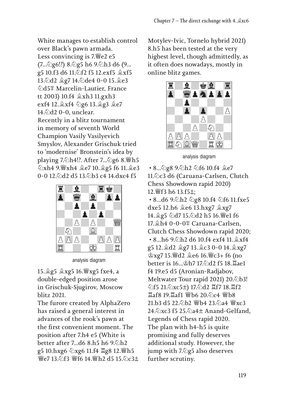White manages to establish control over Black's pawn armada. Less convincing is 7.♕e2 e5  $(7...\&g6!)$  8. $\&g5$  h6 9. $\&h3$  d6 (9... g5 10.f3 d6 11.♘f2 f5 12.exf5 ♗xf5 13.♘d2 ♗g7 14.♘de4 0-0 15.♗e3 ♘d5䩱 Marcelin-Lautier, France tt 2003) 10.f4 ♗xh3 11.gxh3 exf4 12.♗xf4 ♘g6 13.♗g3 ♗e7 14.♘d2 0-0, unclear. Recently in a blitz tournament in memory of seventh World Champion Vasily Vasilyevich Smyslov, Alexander Grischuk tried to 'modernise' Bronstein's idea by playing 7. h4!?. After 7... 2g6 8. ₩h5 ♘xh4 9.♕xh4 ♗e7 10.♗g5 f6 11.♗e3 0-0 12. ∂d2 d5 13. ∂b3 c4 14. dxc4 f5

![](_page_19_Picture_2.jpeg)

analysis diagram

15.♗g5 ♗xg5 16.♕xg5 fxe4, a double-edged position arose in Grischuk-Sjugirov, Moscow blitz 2021.

The furore created by AlphaZero has raised a general interest in advances of the rook's pawn at the first convenient moment. The position after 7.h4 e5 (White is better after 7...d6 8.h5 h6 9.♘h2 g5 10.hxg6 ♘xg6 11.f4 ♖g8 12.♕h5 ♕e7 13.♘f3 ♕f6 14.♕h2 d5 15.♘c3䩲

Motylev-Ivic, Tornelo hybrid 2021) 8.h5 has been tested at the very highest level, though admittedly, as it often does nowadays, mostly in online blitz games.

![](_page_19_Picture_7.jpeg)

analysis diagram

 • 8...♘g8 9.♘h2 ♘f6 10.f4 ♗e7 11.♘c3 d6 (Caruana-Carlsen, Clutch Chess Showdown rapid 2020) 12. If 3 h 6 13. f 5  $\pm$ ;

• 8...d6 9.⁄2h2 ⊘g8 10.f4 ⁄2f6 11.fxe5 dxe5 12.h6 ♗e6 13.hxg7 ♗xg7 14.♗g5 ♘d7 15.♘d2 h5 16.♕e1 f6 17.♗h4 0-0-0䩱 Caruana-Carlsen, Clutch Chess Showdown rapid 2020; • 8...h6 9.♘h2 d6 10.f4 exf4 11.♗xf4 g5 12.♗d2 ♗g7 13.♗c3 0-0 14.♗xg7 ♔xg7 15.♕d2 ♗e6 16.♕c3+ f6 (no better is 16...♔h7 17.♘d2 f5 18.♖ae1 f4 19.e5 d5 (Aronian-Radjabov, Meltwater Tour rapid 2021) 20. b3! ♘f5 21.♘xc5) 17.♘d2 ♖f7 18.♖f2 ♖af8 19.♖af1 ♕b6 20.♘c4 ♕b8 21.b3 d5 22.♘b2 ♕b4 23.♘a4 ♕xc3 24.��xc3 f5 25.��a4± Anand-Gelfand. Legends of Chess rapid 2020. The plan with h4-h5 is quite promising and fully deserves additional study. However, the jump with 7.♘g5 also deserves further scrutiny.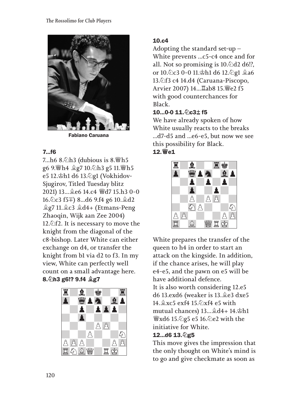![](_page_20_Picture_1.jpeg)

Fabiano Caruana

#### 7...f6

7...h6 8.♘h3 (dubious is 8.♕h5 g6 9.♕h4 ♗g7 10.♘h3 g5 11.♕h5 e5 12.♔h1 d6 13.♘g1 (Vokhidov-Sjugirov, Titled Tuesday blitz 2021) 13...♗e6 14.c4 ♕d7 15.h3 0-0 16. ∕2c3 f5∓) 8...d6 9.f4 g6 10. *a***d2** ♗g7 11.♗c3 ♗d4+ (Etmans-Peng Zhaoqin, Wijk aan Zee 2004) 12. $\triangle$ f2. It is necessary to move the knight from the diagonal of the c8-bishop. Later White can either exchange on d4, or transfer the knight from b1 via d2 to f3. In my view, White can perfectly well count on a small advantage here. 8.♘h3 g6!? 9.f4 ♗g7

![](_page_20_Picture_5.jpeg)

#### 10.c4

Adopting the standard set-up – White prevents ...c5-c4 once and for all. Not so promising is 10. $\triangle$ d2 d6!?, or 10. ⁄2c3 0 - 0 11. *Φh1* d6 12. <sup>*Q*</sup>g1 *L*<sub>a6</sub> 13.♘f3 c4 14.d4 (Caruana-Piscopo, Arvier 2007) 14...♖ab8 15.♕e2 f5 with good counterchances for Black.

#### 10...0-0 11. $\Diamond$ c3 $\pm$  f5

We have already spoken of how White usually reacts to the breaks ...d7-d5 and ...e6-e5, but now we see this possibility for Black. 12.♕e1

![](_page_20_Picture_10.jpeg)

White prepares the transfer of the queen to h4 in order to start an attack on the kingside. In addition, if the chance arises, he will play e4-e5, and the pawn on e5 will be have additional defence. It is also worth considering 12.e5 d6 13.exd6 (weaker is 13.♗e3 dxe5 14.♗xc5 exf4 15.♘xf4 e5 with mutual chances) 13...♗d4+ 14.♔h1 ♕xd6 15.♘g5 e5 16.♘e2 with the initiative for White.

#### 12...d6 13. 2g5

This move gives the impression that the only thought on White's mind is to go and give checkmate as soon as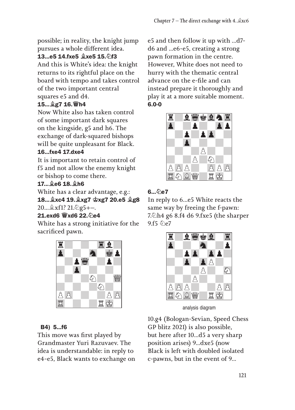possible; in reality, the knight jump pursues a whole different idea.

#### 13...e5 14.fxe5 2xe5 15. 4f3

And this is White's idea: the knight returns to its rightful place on the board with tempo and takes control of the two important central squares e5 and d4.

#### 15...♗g7 16.♕h4

Now White also has taken control of some important dark squares on the kingside, g5 and h6. The exchange of dark-squared bishops will be quite unpleasant for Black.

#### 16...fxe4 17.dxe4

It is important to retain control of f5 and not allow the enemy knight or bishop to come there.

#### 17...♗e6 18.♗h6

White has a clear advantage, e.g.: 18...♗xc4 19.♗xg7 ♔xg7 20.e5 ♗g8 20...  $xf1$ ? 21. ②g5+-.

#### **21.exd6 曾xd6 22. e4**

White has a strong initiative for the sacrificed pawn.

![](_page_21_Picture_12.jpeg)

#### B4) 5...f6

This move was first played by Grandmaster Yuri Razuvaev. The idea is understandable: in reply to e4-e5, Black wants to exchange on e5 and then follow it up with ...d7 d6 and ...e6-e5, creating a strong pawn formation in the centre. However, White does not need to hurry with the thematic central advance on the e-file and can instead prepare it thoroughly and play it at a more suitable moment. 6.0-0

![](_page_21_Picture_16.jpeg)

#### 6…⊘e7

In reply to 6...e5 White reacts the same way by freeing the f-pawn: 7.♘h4 g6 8.f4 d6 9.fxe5 (the sharper 9.f5  $\&e7$ 

![](_page_21_Picture_19.jpeg)

analysis diagram

10.g4 (Bologan-Sevian, Speed Chess GP blitz 2021) is also possible, but here after 10...d5 a very sharp position arises) 9...dxe5 (now Black is left with doubled isolated c-pawns, but in the event of 9...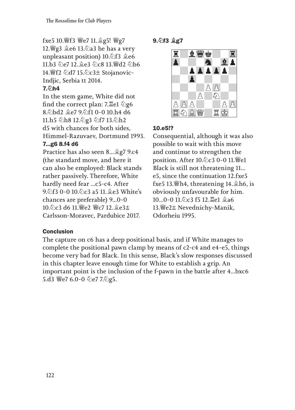#### fxe5 10.♕f3 ♕e7 11.♗g5! ♕g7

12.♕g3 ♗e6 13.♘a3 he has a very unpleasant position) 10.♘f3 ♗e6 11.b3 ♘e7 12.♗e3 ♘c8 13.♕d2 ♘b6 14. lf2 公d7 15. 公c3± Stojanovic-Indjic, Serbia tt 2014.

#### $7.$

In the stem game, White did not find the correct plan: 7.♖e1 ♘g6 8.♘bd2 ♗e7 9.♘f1 0-0 10.h4 d6 11.h5 ♘h8 12.♘g3 ♘f7 13.♘h2 d5 with chances for both sides, Himmel-Razuvaev, Dortmund 1993.

#### 7...g6 8.f4 d6

Practice has also seen 8...♗g7 9.c4 (the standard move, and here it can also be employed: Black stands rather passively. Therefore, White hardly need fear ...c5-c4. After 9. 2f3 0-0 10. 2c3 a 5 11. 2e3 White's chances are preferable) 9...0-0 10. c3 d6 11. 曾e2 曾c7 12. e3± Carlsson-Moravec, Pardubice 2017.

#### 9. 2f3 **gg7**

![](_page_22_Picture_8.jpeg)

#### 10.e5!?

Consequential, although it was also possible to wait with this move and continue to strengthen the position. After 10. ⁄2c3 0-0 11. *We1* Black is still not threatening 11... e5, since the continuation 12.fxe5 fxe5 13.♕h4, threatening 14.♗h6, is obviously unfavourable for him. 10...0-0 11.♘c3 f5 12.♖e1 ♗a6 13.♕e2䩲 Nevednichy-Manik, Odorheiu 1995.

#### **Conclusion**

The capture on c6 has a deep positional basis, and if White manages to complete the positional pawn clamp by means of c2-c4 and e4-e5, things become very bad for Black. In this sense, Black's slow responses discussed in this chapter leave enough time for White to establish a grip. An important point is the inclusion of the f-pawn in the battle after 4...bxc6 5.d3 ₩e7 6.0-0 ۞e7 7.۞g5.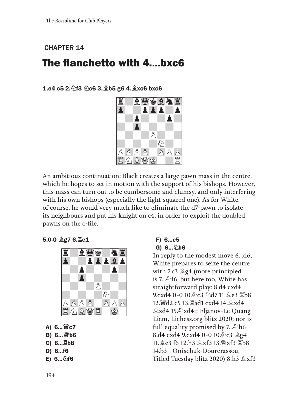#### CHAPTER 14

## The fianchetto with 4....bxc6

1.e4 c5 2.♘f3 ♘c6 3.♗b5 g6 4.♗xc6 bxc6

![](_page_23_Picture_4.jpeg)

An ambitious continuation: Black creates a large pawn mass in the centre, which he hopes to set in motion with the support of his bishops. However, this mass can turn out to be cumbersome and clumsy, and only interfering with his own bishops (especially the light-squared one). As for White, of course, he would very much like to eliminate the d7-pawn to isolate its neighbours and put his knight on c4, in order to exploit the doubled pawns on the c-file.

#### 5.0-0 ♗g7 6.♖e1

![](_page_23_Picture_7.jpeg)

- A) 6...♕c7
- B) 6...♕b6
- C) 6...♖b8
- D) 6...f6
- E) 6...♘f6

#### F) 6...e5

#### G) 6... 2h6

In reply to the modest move 6...d6, White prepares to seize the centre with 7.c3 ♗g4 (more principled is 7...♘f6, but here too, White has straightforward play: 8.d4 cxd4 9.cxd4 0-0 10.♘c3 ♘d7 11.♗e3 ♖b8 12.♕d2 c5 13.♖ad1 cxd4 14.♗xd4 ♗xd4 15.♘xd4䩲 Eljanov-Le Quang Liem, Lichess.org blitz 2020; nor is full equality promised by 7... $\triangle$ h6 8.d4 cxd4 9.cxd4 0-0 10.♘c3 ♗g4 11.♗e3 f6 12.h3 ♗xf3 13.♕xf3 ♖b8 14.b3䩲 Onischuk-Dourerassou, Titled Tuesday blitz 2020) 8.h3 ♗xf3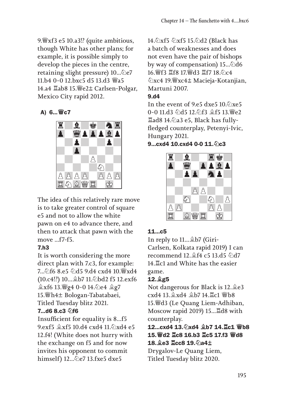9.♕xf3 e5 10.a3!? (quite ambitious, though White has other plans; for example, it is possible simply to develop the pieces in the centre, retaining slight pressure) 10...♘e7 11.b4 0-0 12.bxc5 d5 13.d3 ♕a5 14.a4 ♖ab8 15.♕e2䩲 Carlsen-Polgar, Mexico City rapid 2012.

#### A) 6...♕c7

![](_page_24_Picture_3.jpeg)

The idea of this relatively rare move is to take greater control of square e5 and not to allow the white pawn on e4 to advance there, and then to attack that pawn with the move ...f7-f5.

#### 7.h3

It is worth considering the more direct plan with 7.c3, for example: 7...♘f6 8.e5 ♘d5 9.d4 cxd4 10.♕xd4 (10.c4!?) 10...♗b7 11.♘bd2 f5 12.exf6  $\&xf6\,13.\,$   $\&g4\,0-0\,14.\,$   $\&e4\,$   $\&g7$ 15. Wh4± Bologan-Tabatabaei, Titled Tuesday blitz 2021.

#### 7...d6 8.c3 ♘f6

Insufficient for equality is 8...f5 9.exf5  $\&$ xf5 10.d4 cxd4 11. $\&$ xd4 e5 12.f4! (White does not hurry with the exchange on f5 and for now invites his opponent to commit himself) 12... De7 13.fxe5 dxe5

14.♘xf5 ♘xf5 15.♘d2 (Black has a batch of weaknesses and does not even have the pair of bishops by way of compensation) 15...∕ d6 16.♕f3 ♖f8 17.♕d3 ♖f7 18.♘c4 ♘xc4 19.♕xc4䩲 Macieja-Kotanjian, Martuni 2007.

#### 9.d4

In the event of 9.e5 dxe5 10.  $\&$ xe5 0-0 11.d3 ♘d5 12.♘f3 ♗f5 13.♕e2 ♖ad8 14.♘a3 e5, Black has fullyfledged counterplay, Petenyi-Ivic, Hungary 2021.

#### 9...cxd4  $10$ .cxd4  $0$ -0  $11$ . $\Diamond$ c3

![](_page_24_Picture_13.jpeg)

#### 11...c5

In reply to 11...♗b7 (Giri-Carlsen, Kolkata rapid 2019) I can recommend 12.♗f4 c5 13.d5 ♘d7 14.♖c1 and White has the easier game.

#### 12.♗g5

Not dangerous for Black is 12.♗e3 cxd4 13.♗xd4 ♗b7 14.♖c1 ♕b8 15.♕d3 (Le Quang Liem-Adhiban, Moscow rapid 2019) 15...♖d8 with counterplay.

12...cxd4 13.♘xd4 ♗b7 14.♖c1 ♕b8 15.♕d2 ♖c8 16.b3 ♖c5 17.f3 ♕d8 18. e3 Lcc8 19. 2a4± Drygalov-Le Quang Liem, Titled Tuesday blitz 2020.